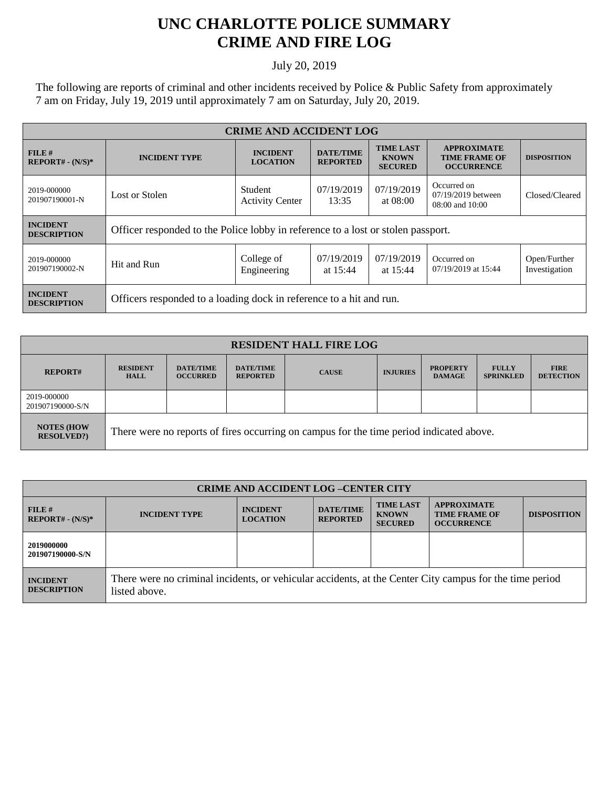## **UNC CHARLOTTE POLICE SUMMARY CRIME AND FIRE LOG**

July 20, 2019

The following are reports of criminal and other incidents received by Police & Public Safety from approximately 7 am on Friday, July 19, 2019 until approximately 7 am on Saturday, July 20, 2019.

| <b>CRIME AND ACCIDENT LOG</b>         |                                                                                  |                                    |                                     |                                                    |                                                                 |                               |  |
|---------------------------------------|----------------------------------------------------------------------------------|------------------------------------|-------------------------------------|----------------------------------------------------|-----------------------------------------------------------------|-------------------------------|--|
| FILE H<br>$REPORT# - (N/S)*$          | <b>INCIDENT TYPE</b>                                                             | <b>INCIDENT</b><br><b>LOCATION</b> | <b>DATE/TIME</b><br><b>REPORTED</b> | <b>TIME LAST</b><br><b>KNOWN</b><br><b>SECURED</b> | <b>APPROXIMATE</b><br><b>TIME FRAME OF</b><br><b>OCCURRENCE</b> | <b>DISPOSITION</b>            |  |
| 2019-000000<br>201907190001-N         | Lost or Stolen                                                                   | Student<br><b>Activity Center</b>  | 07/19/2019<br>13:35                 | 07/19/2019<br>at $08:00$                           | Occurred on<br>07/19/2019 between<br>08:00 and 10:00            | Closed/Cleared                |  |
| <b>INCIDENT</b><br><b>DESCRIPTION</b> | Officer responded to the Police lobby in reference to a lost or stolen passport. |                                    |                                     |                                                    |                                                                 |                               |  |
| 2019-000000<br>201907190002-N         | Hit and Run                                                                      | College of<br>Engineering          | 07/19/2019<br>at $15:44$            | 07/19/2019<br>at $15:44$                           | Occurred on<br>07/19/2019 at 15:44                              | Open/Further<br>Investigation |  |
| <b>INCIDENT</b><br><b>DESCRIPTION</b> | Officers responded to a loading dock in reference to a hit and run.              |                                    |                                     |                                                    |                                                                 |                               |  |

| <b>RESIDENT HALL FIRE LOG</b>         |                                                                                         |                                     |                                     |              |                 |                                  |                                  |                                 |
|---------------------------------------|-----------------------------------------------------------------------------------------|-------------------------------------|-------------------------------------|--------------|-----------------|----------------------------------|----------------------------------|---------------------------------|
| <b>REPORT#</b>                        | <b>RESIDENT</b><br><b>HALL</b>                                                          | <b>DATE/TIME</b><br><b>OCCURRED</b> | <b>DATE/TIME</b><br><b>REPORTED</b> | <b>CAUSE</b> | <b>INJURIES</b> | <b>PROPERTY</b><br><b>DAMAGE</b> | <b>FULLY</b><br><b>SPRINKLED</b> | <b>FIRE</b><br><b>DETECTION</b> |
| 2019-000000<br>201907190000-S/N       |                                                                                         |                                     |                                     |              |                 |                                  |                                  |                                 |
| <b>NOTES (HOW</b><br><b>RESOLVED?</b> | There were no reports of fires occurring on campus for the time period indicated above. |                                     |                                     |              |                 |                                  |                                  |                                 |

| <b>CRIME AND ACCIDENT LOG -CENTER CITY</b> |                                                                                                                          |                                    |                                     |                                                    |                                                                 |                    |
|--------------------------------------------|--------------------------------------------------------------------------------------------------------------------------|------------------------------------|-------------------------------------|----------------------------------------------------|-----------------------------------------------------------------|--------------------|
| FILE H<br>$REPORT# - (N/S)*$               | <b>INCIDENT TYPE</b>                                                                                                     | <b>INCIDENT</b><br><b>LOCATION</b> | <b>DATE/TIME</b><br><b>REPORTED</b> | <b>TIME LAST</b><br><b>KNOWN</b><br><b>SECURED</b> | <b>APPROXIMATE</b><br><b>TIME FRAME OF</b><br><b>OCCURRENCE</b> | <b>DISPOSITION</b> |
| 2019000000<br>201907190000-S/N             |                                                                                                                          |                                    |                                     |                                                    |                                                                 |                    |
| <b>INCIDENT</b><br><b>DESCRIPTION</b>      | There were no criminal incidents, or vehicular accidents, at the Center City campus for the time period<br>listed above. |                                    |                                     |                                                    |                                                                 |                    |